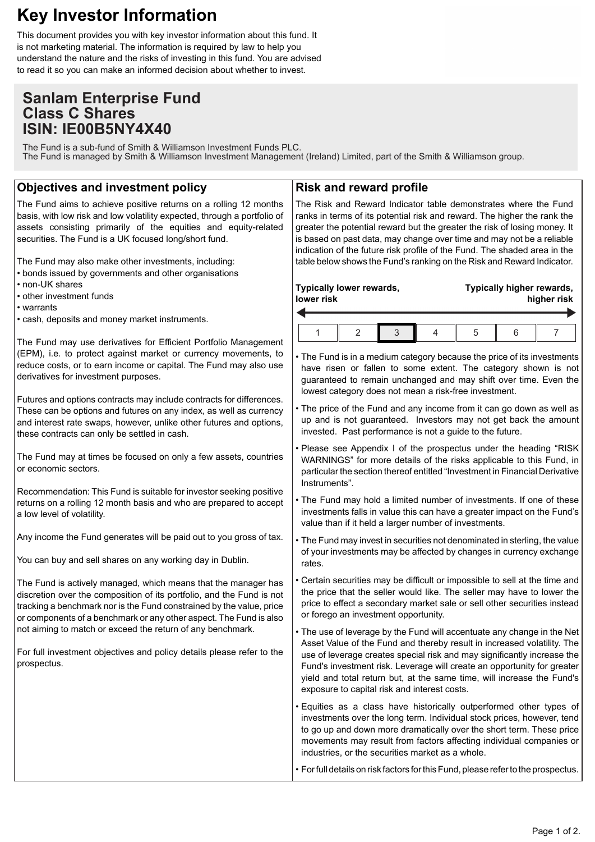# **Key Investor Information**

This document provides you with key investor information about this fund. It is not marketing material. The information is required by law to help you understand the nature and the risks of investing in this fund. You are advised to read it so you can make an informed decision about whether to invest.

## **Sanlam Enterprise Fund Class C Shares ISIN: IE00B5NY4X40**

The Fund is a sub-fund of Smith & Williamson Investment Funds PLC. The Fund is managed by Smith & Williamson Investment Management (Ireland) Limited, part of the Smith & Williamson group.

### **Objectives and investment policy**

The Fund aims to achieve positive returns on a rolling 12 months basis, with low risk and low volatility expected, through a portfolio of assets consisting primarily of the equities and equity-related securities. The Fund is a UK focused long/short fund.

The Fund may also make other investments, including:

- bonds issued by governments and other organisations
- non-UK shares
- other investment funds
- warrants
- cash, deposits and money market instruments.

The Fund may use derivatives for Efficient Portfolio Management (EPM), i.e. to protect against market or currency movements, to reduce costs, or to earn income or capital. The Fund may also use derivatives for investment purposes.

Futures and options contracts may include contracts for differences. These can be options and futures on any index, as well as currency and interest rate swaps, however, unlike other futures and options, these contracts can only be settled in cash.

The Fund may at times be focused on only a few assets, countries or economic sectors.

Recommendation: This Fund is suitable for investor seeking positive returns on a rolling 12 month basis and who are prepared to accept a low level of volatility.

Any income the Fund generates will be paid out to you gross of tax.

You can buy and sell shares on any working day in Dublin.

The Fund is actively managed, which means that the manager has discretion over the composition of its portfolio, and the Fund is not tracking a benchmark nor is the Fund constrained by the value, price or components of a benchmark or any other aspect. The Fund is also not aiming to match or exceed the return of any benchmark.

For full investment objectives and policy details please refer to the prospectus.

#### **Risk and reward profile**

The Risk and Reward Indicator table demonstrates where the Fund ranks in terms of its potential risk and reward. The higher the rank the greater the potential reward but the greater the risk of losing money. It is based on past data, may change over time and may not be a reliable indication of the future risk profile of the Fund. The shaded area in the table below shows the Fund's ranking on the Risk and Reward Indicator.

| Typically lower rewards, |  |  |  | Typically higher rewards, |  |  |
|--------------------------|--|--|--|---------------------------|--|--|
| lower risk               |  |  |  | higher risk               |  |  |
|                          |  |  |  |                           |  |  |

• The Fund is in a medium category because the price of its investments have risen or fallen to some extent. The category shown is not guaranteed to remain unchanged and may shift over time. Even the lowest category does not mean a risk-free investment.

- The price of the Fund and any income from it can go down as well as up and is not guaranteed. Investors may not get back the amount invested. Past performance is not a guide to the future.
- Please see Appendix I of the prospectus under the heading "RISK WARNINGS" for more details of the risks applicable to this Fund, in particular the section thereof entitled "Investment in Financial Derivative Instruments".
- The Fund may hold a limited number of investments. If one of these investments falls in value this can have a greater impact on the Fund's value than if it held a larger number of investments.
- The Fund may invest in securities not denominated in sterling, the value of your investments may be affected by changes in currency exchange rates.
- Certain securities may be difficult or impossible to sell at the time and the price that the seller would like. The seller may have to lower the price to effect a secondary market sale or sell other securities instead or forego an investment opportunity.
- The use of leverage by the Fund will accentuate any change in the Net Asset Value of the Fund and thereby result in increased volatility. The use of leverage creates special risk and may significantly increase the Fund's investment risk. Leverage will create an opportunity for greater yield and total return but, at the same time, will increase the Fund's exposure to capital risk and interest costs.
- Equities as a class have historically outperformed other types of investments over the long term. Individual stock prices, however, tend to go up and down more dramatically over the short term. These price movements may result from factors affecting individual companies or industries, or the securities market as a whole.

• For full details on risk factors for this Fund, please refer to the prospectus.